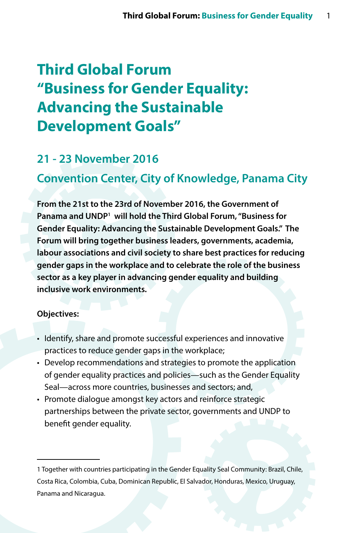# **Third Global Forum "Business for Gender Equality: Advancing the Sustainable Development Goals"**

## **21 - 23 November 2016**

# **Convention Center, City of Knowledge, Panama City**

**From the 21st to the 23rd of November 2016, the Government of Panama and UNDP1 will hold the Third Global Forum, "Business for Gender Equality: Advancing the Sustainable Development Goals." The Forum will bring together business leaders, governments, academia, labour associations and civil society to share best practices for reducing gender gaps in the workplace and to celebrate the role of the business sector as a key player in advancing gender equality and building inclusive work environments.** 

#### **Objectives:**

- Identify, share and promote successful experiences and innovative practices to reduce gender gaps in the workplace;
- Develop recommendations and strategies to promote the application of gender equality practices and policies—such as the Gender Equality Seal—across more countries, businesses and sectors; and,
- Promote dialogue amongst key actors and reinforce strategic partnerships between the private sector, governments and UNDP to benefit gender equality.

<sup>1</sup> Together with countries participating in the Gender Equality Seal Community: Brazil, Chile, Costa Rica, Colombia, Cuba, Dominican Republic, El Salvador, Honduras, Mexico, Uruguay, Panama and Nicaragua.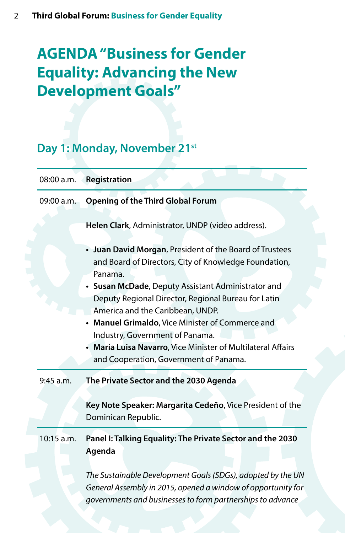# **AGENDA "Business for Gender Equality: Advancing the New Development Goals"**

# Day 1: Monday, November 21<sup>st</sup>

| 08:00 a.m.   | Registration                                                                                                                                                                                                                                                                                                                                                                                                                                                                |
|--------------|-----------------------------------------------------------------------------------------------------------------------------------------------------------------------------------------------------------------------------------------------------------------------------------------------------------------------------------------------------------------------------------------------------------------------------------------------------------------------------|
| 09:00 a.m.   | <b>Opening of the Third Global Forum</b>                                                                                                                                                                                                                                                                                                                                                                                                                                    |
|              | Helen Clark, Administrator, UNDP (video address).                                                                                                                                                                                                                                                                                                                                                                                                                           |
|              | • Juan David Morgan, President of the Board of Trustees<br>and Board of Directors, City of Knowledge Foundation,<br>Panama.<br>• Susan McDade, Deputy Assistant Administrator and<br>Deputy Regional Director, Regional Bureau for Latin<br>America and the Caribbean, UNDP.<br>• Manuel Grimaldo, Vice Minister of Commerce and<br>Industry, Government of Panama.<br>María Luisa Navarro, Vice Minister of Multilateral Affairs<br>and Cooperation, Government of Panama. |
| 9:45 a.m.    | The Private Sector and the 2030 Agenda                                                                                                                                                                                                                                                                                                                                                                                                                                      |
|              | Key Note Speaker: Margarita Cedeño, Vice President of the<br>Dominican Republic.                                                                                                                                                                                                                                                                                                                                                                                            |
| $10:15$ a.m. | Panel I: Talking Equality: The Private Sector and the 2030<br>Agenda                                                                                                                                                                                                                                                                                                                                                                                                        |
|              | The Sustainable Development Goals (SDGs), adopted by the UN<br>General Assembly in 2015, opened a window of opportunity for<br>governments and businesses to form partnerships to advance                                                                                                                                                                                                                                                                                   |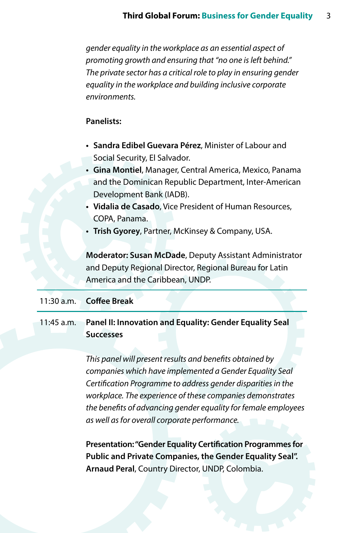*gender equality in the workplace as an essential aspect of promoting growth and ensuring that "no one is left behind." The private sector has a critical role to play in ensuring gender equality in the workplace and building inclusive corporate environments.* 

#### **Panelists:**

- **• Sandra Edibel Guevara Pérez**, Minister of Labour and Social Security, El Salvador.
- **• Gina Montiel**, Manager, Central America, Mexico, Panama and the Dominican Republic Department, Inter-American Development Bank (IADB).
- **• Vidalia de Casado**, Vice President of Human Resources, COPA, Panama.
- **• Trish Gyorey**, Partner, McKinsey & Company, USA.

**Moderator: Susan McDade**, Deputy Assistant Administrator and Deputy Regional Director, Regional Bureau for Latin America and the Caribbean, UNDP.

#### 11:30 a.m. **Coffee Break**

11:45 a.m. **Panel II: Innovation and Equality: Gender Equality Seal Successes**

> *This panel will present results and benefits obtained by companies which have implemented a Gender Equality Seal Certification Programme to address gender disparities in the workplace. The experience of these companies demonstrates the benefits of advancing gender equality for female employees as well as for overall corporate performance.*

> **Presentation: "Gender Equality Certification Programmes for Public and Private Companies, the Gender Equality Seal". Arnaud Peral**, Country Director, UNDP, Colombia.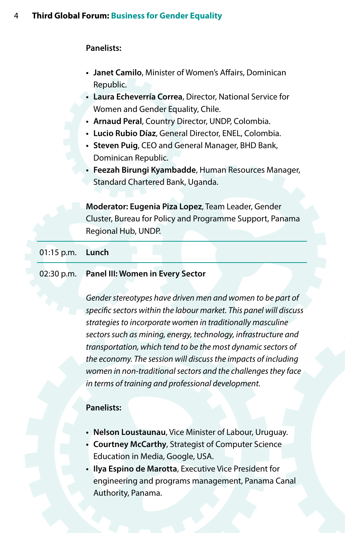- **• Janet Camilo**, Minister of Women's Affairs, Dominican Republic.
- **• Laura Echeverría Correa**, Director, National Service for Women and Gender Equality, Chile.
- **• Arnaud Peral**, Country Director, UNDP, Colombia.
- **• Lucio Rubio Díaz**, General Director, ENEL, Colombia.
- **• Steven Puig**, CEO and General Manager, BHD Bank, Dominican Republic.
- **• Feezah Birungi Kyambadde**, Human Resources Manager, Standard Chartered Bank, Uganda.

**Moderator: Eugenia Piza Lopez**, Team Leader, Gender Cluster, Bureau for Policy and Programme Support, Panama Regional Hub, UNDP.

#### 01:15 p.m. **Lunch**

#### 02:30 p.m. **Panel III: Women in Every Sector**

*Gender stereotypes have driven men and women to be part of specific sectors within the labour market. This panel will discuss strategies to incorporate women in traditionally masculine sectors such as mining, energy, technology, infrastructure and transportation, which tend to be the most dynamic sectors of the economy. The session will discuss the impacts of including women in non-traditional sectors and the challenges they face in terms of training and professional development.* 

#### **Panelists:**

- **• Nelson Loustaunau**, Vice Minister of Labour, Uruguay.
- **• Courtney McCarthy**, Strategist of Computer Science Education in Media, Google, USA.
- **• Ilya Espino de Marotta**, Executive Vice President for engineering and programs management, Panama Canal Authority, Panama.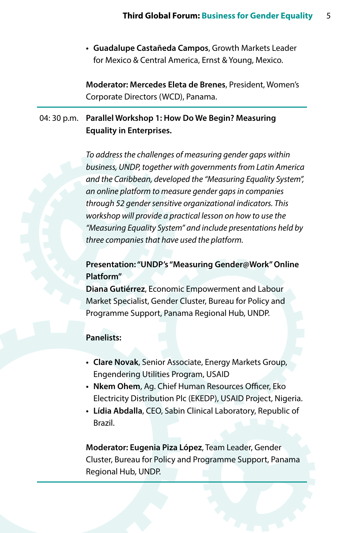**• Guadalupe Castañeda Campos**, Growth Markets Leader for Mexico & Central America, Ernst & Young, Mexico.

**Moderator: Mercedes Eleta de Brenes**, President, Women's Corporate Directors (WCD), Panama.

## 04: 30 p.m. **Parallel Workshop 1: How Do We Begin? Measuring Equality in Enterprises.**

*To address the challenges of measuring gender gaps within business, UNDP, together with governments from Latin America and the Caribbean, developed the "Measuring Equality System", an online platform to measure gender gaps in companies through 52 gender sensitive organizational indicators. This workshop will provide a practical lesson on how to use the "Measuring Equality System" and include presentations held by three companies that have used the platform.*

## **Presentation: "UNDP's "Measuring Gender@Work" Online Platform"**

**Diana Gutiérrez**, Economic Empowerment and Labour Market Specialist, Gender Cluster, Bureau for Policy and Programme Support, Panama Regional Hub, UNDP.

#### **Panelists:**

- **• Clare Novak**, Senior Associate, Energy Markets Group, Engendering Utilities Program, USAID
- **• Nkem Ohem**, Ag. Chief Human Resources Officer, Eko Electricity Distribution Plc (EKEDP), USAID Project, Nigeria.
- **• Lídia Abdalla**, CEO, Sabin Clinical Laboratory, Republic of Brazil.

**Moderator: Eugenia Piza López**, Team Leader, Gender Cluster, Bureau for Policy and Programme Support, Panama Regional Hub, UNDP.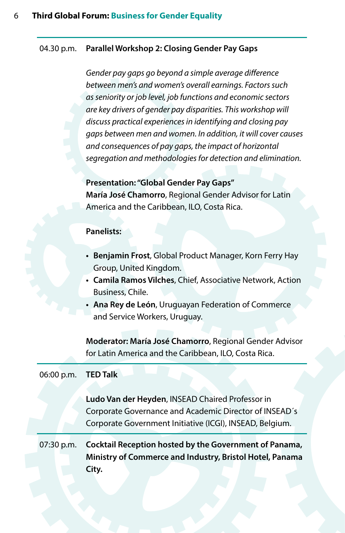#### 04.30 p.m. **Parallel Workshop 2: Closing Gender Pay Gaps**

*Gender pay gaps go beyond a simple average difference between men's and women's overall earnings. Factors such as seniority or job level, job functions and economic sectors are key drivers of gender pay disparities. This workshop will discuss practical experiences in identifying and closing pay gaps between men and women. In addition, it will cover causes and consequences of pay gaps, the impact of horizontal segregation and methodologies for detection and elimination.*

**Presentation: "Global Gender Pay Gaps" María José Chamorro**, Regional Gender Advisor for Latin America and the Caribbean, ILO, Costa Rica.

#### **Panelists:**

- **• Benjamin Frost**, Global Product Manager, Korn Ferry Hay Group, United Kingdom.
- **• Camila Ramos Vilches**, Chief, Associative Network, Action Business, Chile.
- **• Ana Rey de León**, Uruguayan Federation of Commerce and Service Workers, Uruguay.

**Moderator: María José Chamorro**, Regional Gender Advisor for Latin America and the Caribbean, ILO, Costa Rica.

| 06:00 p.m. <b>TED Talk</b>                                             |                                                                                                                                                                        |  |  |
|------------------------------------------------------------------------|------------------------------------------------------------------------------------------------------------------------------------------------------------------------|--|--|
|                                                                        | Ludo Van der Heyden, INSEAD Chaired Professor in<br>Corporate Governance and Academic Director of INSEAD's<br>Corporate Government Initiative (ICGI), INSEAD, Belgium. |  |  |
| Cocktail Reception hosted by the Government of Panama,<br>$07:30$ p.m. |                                                                                                                                                                        |  |  |
|                                                                        | Ministry of Commerce and Industry, Bristol Hotel, Panama<br>City.                                                                                                      |  |  |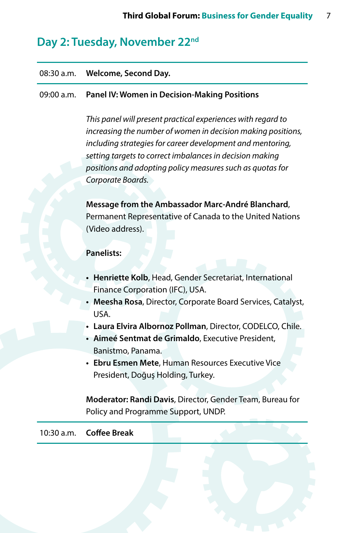# **Day 2: Tuesday, November 22nd**

# 08:30 a.m. **Welcome, Second Day.** 09:00 a.m. **Panel IV: Women in Decision-Making Positions** *This panel will present practical experiences with regard to increasing the number of women in decision making positions, including strategies for career development and mentoring, setting targets to correct imbalances in decision making positions and adopting policy measures such as quotas for Corporate Boards.*  **Message from the Ambassador Marc-André Blanchard**, Permanent Representative of Canada to the United Nations (Video address). **Panelists: • Henriette Kolb**, Head, Gender Secretariat, International Finance Corporation (IFC), USA. **• Meesha Rosa**, Director, Corporate Board Services, Catalyst, USA. **• Laura Elvira Albornoz Pollman**, Director, CODELCO, Chile. **• Aimeé Sentmat de Grimaldo**, Executive President, Banistmo, Panama. **• Ebru Esmen Mete**, Human Resources Executive Vice President, Doğuş Holding, Turkey. **Moderator: Randi Davis**, Director, Gender Team, Bureau for Policy and Programme Support, UNDP. 10:30 a.m. **Coffee Break**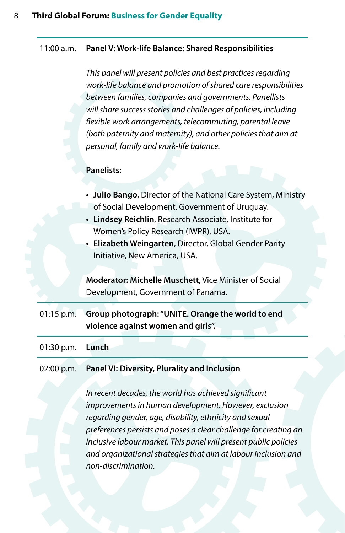#### 11:00 a.m. **Panel V: Work-life Balance: Shared Responsibilities**

*This panel will present policies and best practices regarding work-life balance and promotion of shared care responsibilities between families, companies and governments. Panellists will share success stories and challenges of policies, including flexible work arrangements, telecommuting, parental leave (both paternity and maternity), and other policies that aim at personal, family and work-life balance.*

#### **Panelists:**

| • Julio Bango, Director of the National Care System, Ministry |  |
|---------------------------------------------------------------|--|
| of Social Development, Government of Uruguay.                 |  |

- **• Lindsey Reichlin**, Research Associate, Institute for Women's Policy Research (IWPR), USA.
- **• Elizabeth Weingarten**, Director, Global Gender Parity Initiative, New America, USA.

**Moderator: Michelle Muschett**, Vice Minister of Social Development, Government of Panama.

01:15 p.m. **Group photograph: "UNITE. Orange the world to end violence against women and girls".**

01:30 p.m. **Lunch**

#### 02:00 p.m. **Panel VI: Diversity, Plurality and Inclusion**

*In recent decades, the world has achieved significant improvements in human development. However, exclusion regarding gender, age, disability, ethnicity and sexual preferences persists and poses a clear challenge for creating an inclusive labour market. This panel will present public policies and organizational strategies that aim at labour inclusion and non-discrimination.*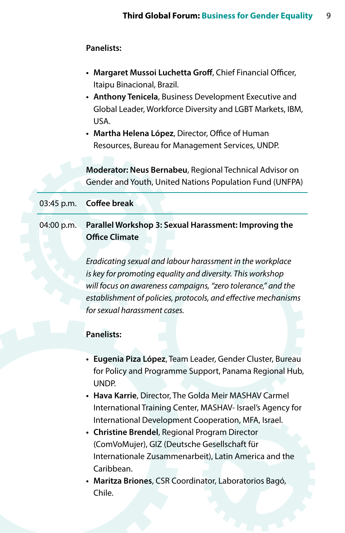- **• Margaret Mussoi Luchetta Groff**, Chief Financial Officer, Itaipu Binacional, Brazil.
- **• Anthony Tenicela**, Business Development Executive and Global Leader, Workforce Diversity and LGBT Markets, IBM, USA.
- **• Martha Helena López**, Director, Office of Human Resources, Bureau for Management Services, UNDP.

**Moderator: Neus Bernabeu**, Regional Technical Advisor on Gender and Youth, United Nations Population Fund (UNFPA)

#### 03:45 p.m. **Coffee break**

### 04:00 p.m. **Parallel Workshop 3: Sexual Harassment: Improving the Office Climate**

*Eradicating sexual and labour harassment in the workplace is key for promoting equality and diversity. This workshop will focus on awareness campaigns, "zero tolerance," and the establishment of policies, protocols, and effective mechanisms for sexual harassment cases.*

#### **Panelists:**

- **• Eugenia Piza López**, Team Leader, Gender Cluster, Bureau for Policy and Programme Support, Panama Regional Hub, UNDP.
- **• Hava Karrie**, Director, The Golda Meir MASHAV Carmel International Training Center, MASHAV- Israel's Agency for International Development Cooperation, MFA, Israel.
- **• Christine Brendel**, Regional Program Director (ComVoMujer), GIZ (Deutsche Gesellschaft für Internationale Zusammenarbeit), Latin America and the Caribbean.
- **• Maritza Briones**, CSR Coordinator, Laboratorios Bagó, Chile.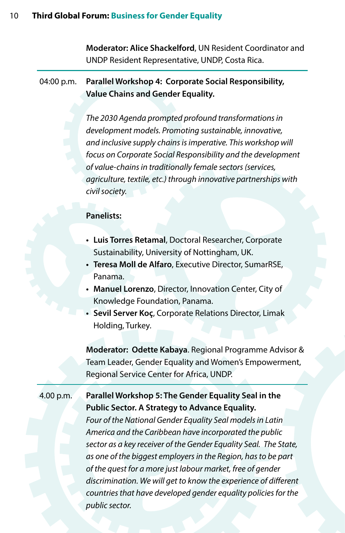**Moderator: Alice Shackelford**, UN Resident Coordinator and UNDP Resident Representative, UNDP, Costa Rica.

### 04:00 p.m. **Parallel Workshop 4: Corporate Social Responsibility, Value Chains and Gender Equality.**

*The 2030 Agenda prompted profound transformations in development models. Promoting sustainable, innovative, and inclusive supply chains is imperative. This workshop will focus on Corporate Social Responsibility and the development of value-chains in traditionally female sectors (services, agriculture, textile, etc.) through innovative partnerships with civil society.* 

#### **Panelists:**

- **• Luis Torres Retamal**, Doctoral Researcher, Corporate Sustainability, University of Nottingham, UK.
- **• Teresa Moll de Alfaro**, Executive Director, SumarRSE, Panama.
- **• Manuel Lorenzo**, Director, Innovation Center, City of Knowledge Foundation, Panama.
- **• Sevil Server Koç**, Corporate Relations Director, Limak Holding, Turkey.

**Moderator: Odette Kabaya**. Regional Programme Advisor & Team Leader, Gender Equality and Women's Empowerment, Regional Service Center for Africa, UNDP.

## 4.00 p.m. **Parallel Workshop 5: The Gender Equality Seal in the Public Sector. A Strategy to Advance Equality.**

*Four of the National Gender Equality Seal models in Latin America and the Caribbean have incorporated the public sector as a key receiver of the Gender Equality Seal. The State, as one of the biggest employers in the Region, has to be part of the quest for a more just labour market, free of gender discrimination. We will get to know the experience of different countries that have developed gender equality policies for the public sector.*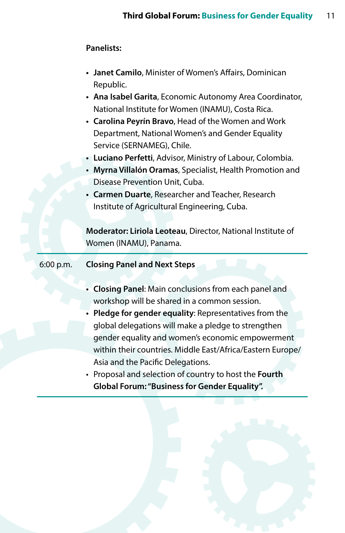| • Janet Camilo, Minister of Women's Affairs, Dominican |
|--------------------------------------------------------|
| Republic.                                              |

- **• Ana Isabel Garita**, Economic Autonomy Area Coordinator, National Institute for Women (INAMU), Costa Rica.
- **• Carolina Peyrín Bravo**, Head of the Women and Work Department, National Women's and Gender Equality Service (SERNAMEG), Chile.
- **• Luciano Perfetti**, Advisor, Ministry of Labour, Colombia.
- **• Myrna Villalón Oramas**, Specialist, Health Promotion and Disease Prevention Unit, Cuba.
- **• Carmen Duarte**, Researcher and Teacher, Research Institute of Agricultural Engineering, Cuba.

**Moderator: Liriola Leoteau**, Director, National Institute of Women (INAMU), Panama.

#### 6:00 p.m. **Closing Panel and Next Steps**

- **• Closing Panel**: Main conclusions from each panel and workshop will be shared in a common session.
- **• Pledge for gender equality**: Representatives from the global delegations will make a pledge to strengthen gender equality and women's economic empowerment within their countries. Middle East/Africa/Eastern Europe/ Asia and the Pacific Delegations.
- • Proposal and selection of country to host the **Fourth Global Forum: "Business for Gender Equality".**

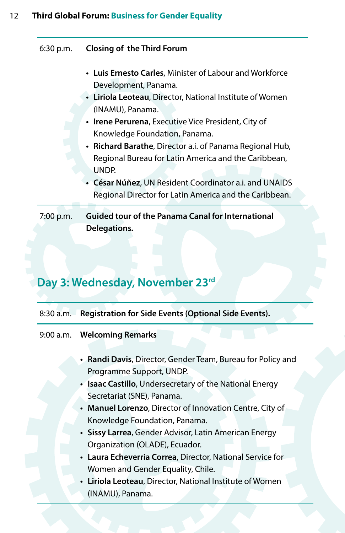### 12 **Third Global Forum: Business for Gender Equality**

6:30 p.m. **Closing of the Third Forum** 

- **• Luis Ernesto Carles**, Minister of Labour and Workforce Development, Panama.
- **• Liriola Leoteau**, Director, National Institute of Women (INAMU), Panama.
- **• Irene Perurena**, Executive Vice President, City of Knowledge Foundation, Panama.
- **• Richard Barathe**, Director a.i. of Panama Regional Hub, Regional Bureau for Latin America and the Caribbean, UNDP.
- **• César Núñez**, UN Resident Coordinator a.i. and UNAIDS Regional Director for Latin America and the Caribbean.

7:00 p.m. **Guided tour of the Panama Canal for International Delegations.**

# **Day 3: Wednesday, November 23rd**

| 8:30 a.m. Registration for Side Events (Optional Side Events).                          |  |  |
|-----------------------------------------------------------------------------------------|--|--|
| 9:00 a.m. Welcoming Remarks                                                             |  |  |
| • Randi Davis, Director, Gender Team, Bureau for Policy and<br>Programme Support, UNDP. |  |  |
| • Isaac Castillo, Undersecretary of the National Energy                                 |  |  |
| Secretariat (SNE), Panama.                                                              |  |  |
| • Manuel Lorenzo, Director of Innovation Centre, City of                                |  |  |
| Knowledge Foundation, Panama.                                                           |  |  |
| • Sissy Larrea, Gender Advisor, Latin American Energy                                   |  |  |
| Organization (OLADE), Ecuador.                                                          |  |  |
| • Laura Echeverria Correa, Director, National Service for                               |  |  |
| Women and Gender Equality, Chile.                                                       |  |  |
| • Liriola Leoteau, Director, National Institute of Women                                |  |  |
| (INAMU), Panama.                                                                        |  |  |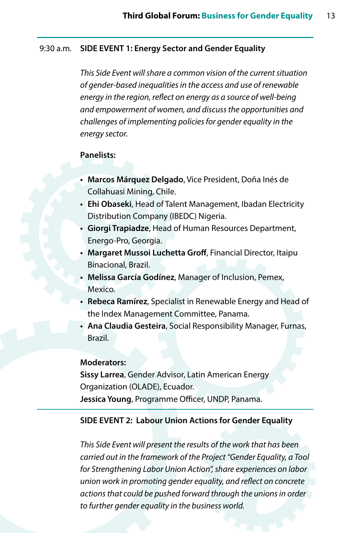#### 9:30 a.m. **SIDE EVENT 1: Energy Sector and Gender Equality**

*This Side Event will share a common vision of the current situation of gender-based inequalities in the access and use of renewable energy in the region, reflect on energy as a source of well-being and empowerment of women, and discuss the opportunities and challenges of implementing policies for gender equality in the energy sector.* 

#### **Panelists:**

- **• Marcos Márquez Delgado**, Vice President, Doña Inés de Collahuasi Mining, Chile.
- **• Ehi Obaseki**, Head of Talent Management, Ibadan Electricity Distribution Company (IBEDC) Nigeria.
- **• Giorgi Trapiadze**, Head of Human Resources Department, Energo-Pro, Georgia.
- **• Margaret Mussoi Luchetta Groff**, Financial Director, Itaipu Binacional, Brazil.
- **• Melissa García Godínez**, Manager of Inclusion, Pemex, Mexico.
- **• Rebeca Ramírez**, Specialist in Renewable Energy and Head of the Index Management Committee, Panama.
- **• Ana Claudia Gesteira**, Social Responsibility Manager, Furnas, Brazil.

#### **Moderators:**

**Sissy Larrea**, Gender Advisor, Latin American Energy Organization (OLADE), Ecuador. **Jessica Young**, Programme Officer, UNDP, Panama.

#### **SIDE EVENT 2: Labour Union Actions for Gender Equality**

*This Side Event will present the results of the work that has been carried out in the framework of the Project "Gender Equality, a Tool for Strengthening Labor Union Action", share experiences on labor union work in promoting gender equality, and reflect on concrete actions that could be pushed forward through the unions in order to further gender equality in the business world.*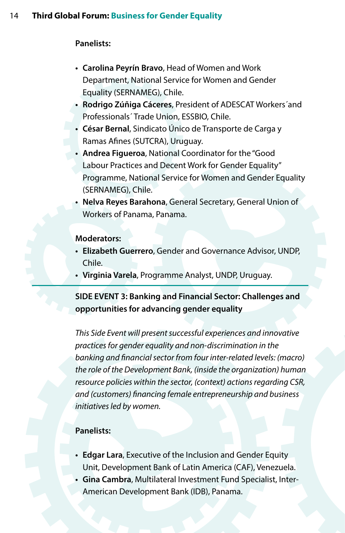- **• Carolina Peyrín Bravo**, Head of Women and Work Department, National Service for Women and Gender Equality (SERNAMEG), Chile.
- **• Rodrigo Zúñiga Cáceres**, President of ADESCAT Workers´and Professionals´ Trade Union, ESSBIO, Chile.
- **• César Bernal**, Sindicato Único de Transporte de Carga y Ramas Afines (SUTCRA), Uruguay.
- **• Andrea Figueroa**, National Coordinator for the "Good Labour Practices and Decent Work for Gender Equality" Programme, National Service for Women and Gender Equality (SERNAMEG), Chile.
- **• Nelva Reyes Barahona**, General Secretary, General Union of Workers of Panama, Panama.

#### **Moderators:**

- **• Elizabeth Guerrero**, Gender and Governance Advisor, UNDP, Chile.
- **• Virginia Varela**, Programme Analyst, UNDP, Uruguay.

## **SIDE EVENT 3: Banking and Financial Sector: Challenges and opportunities for advancing gender equality**

*This Side Event will present successful experiences and innovative practices for gender equality and non-discrimination in the banking and financial sector from four inter-related levels: (macro) the role of the Development Bank, (inside the organization) human resource policies within the sector, (context) actions regarding CSR, and (customers) financing female entrepreneurship and business initiatives led by women.*

#### **Panelists:**

- **• Edgar Lara**, Executive of the Inclusion and Gender Equity Unit, Development Bank of Latin America (CAF), Venezuela.
- **• Gina Cambra**, Multilateral Investment Fund Specialist, Inter-American Development Bank (IDB), Panama.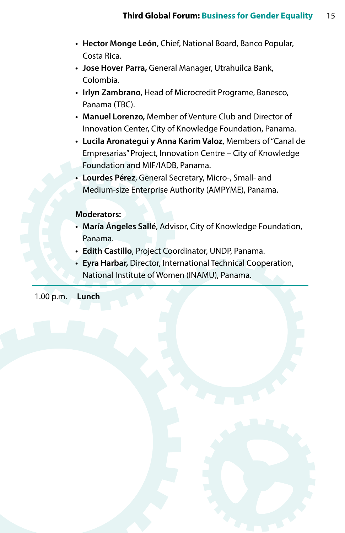- **• Hector Monge León**, Chief, National Board, Banco Popular, Costa Rica.
- **• Jose Hover Parra,** General Manager, Utrahuilca Bank, Colombia.
- **• Irlyn Zambrano**, Head of Microcredit Programe, Banesco, Panama (TBC).
- **• Manuel Lorenzo,** Member of Venture Club and Director of Innovation Center, City of Knowledge Foundation, Panama.
- **• Lucila Aronategui y Anna Karim Valoz**, Members of"Canal de Empresarias"Project, Innovation Centre – City of Knowledge Foundation and MIF/IADB, Panama.
- **• Lourdes Pérez**, General Secretary, Micro-, Small- and Medium-size Enterprise Authority (AMPYME), Panama.

#### **Moderators:**

- **• María Ángeles Sallé**, Advisor, City of Knowledge Foundation, Panama.
- **• Edith Castillo**, Project Coordinator, UNDP, Panama.
- **• Eyra Harbar,** Director, International Technical Cooperation, National Institute of Women (INAMU), Panama.

1.00 p.m. **Lunch**